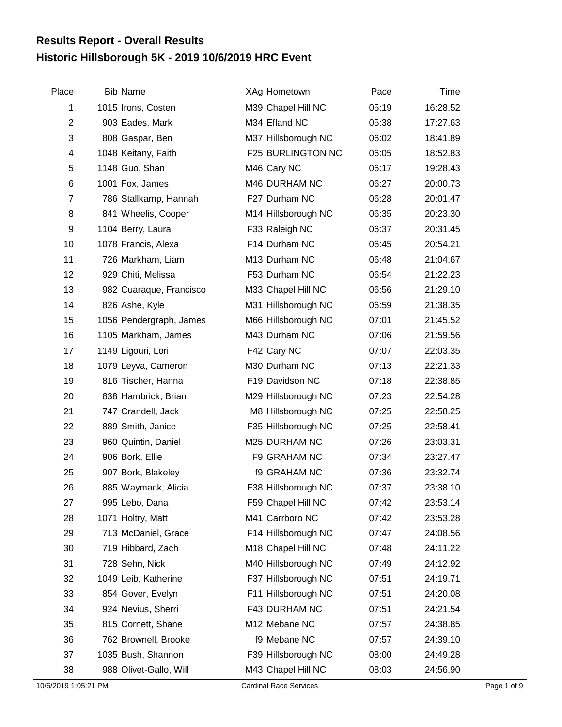## **Historic Hillsborough 5K - 2019 10/6/2019 HRC Event Results Report - Overall Results**

| Place          | <b>Bib Name</b>         | XAg Hometown        | Pace  | Time     |  |
|----------------|-------------------------|---------------------|-------|----------|--|
| 1              | 1015 Irons, Costen      | M39 Chapel Hill NC  | 05:19 | 16:28.52 |  |
| $\overline{2}$ | 903 Eades, Mark         | M34 Efland NC       | 05:38 | 17:27.63 |  |
| 3              | 808 Gaspar, Ben         | M37 Hillsborough NC | 06:02 | 18:41.89 |  |
| 4              | 1048 Keitany, Faith     | F25 BURLINGTON NC   | 06:05 | 18:52.83 |  |
| 5              | 1148 Guo, Shan          | M46 Cary NC         | 06:17 | 19:28.43 |  |
| $\,6$          | 1001 Fox, James         | M46 DURHAM NC       | 06:27 | 20:00.73 |  |
| $\overline{7}$ | 786 Stallkamp, Hannah   | F27 Durham NC       | 06:28 | 20:01.47 |  |
| 8              | 841 Wheelis, Cooper     | M14 Hillsborough NC | 06:35 | 20:23.30 |  |
| 9              | 1104 Berry, Laura       | F33 Raleigh NC      | 06:37 | 20:31.45 |  |
| 10             | 1078 Francis, Alexa     | F14 Durham NC       | 06:45 | 20:54.21 |  |
| 11             | 726 Markham, Liam       | M13 Durham NC       | 06:48 | 21:04.67 |  |
| 12             | 929 Chiti, Melissa      | F53 Durham NC       | 06:54 | 21:22.23 |  |
| 13             | 982 Cuaraque, Francisco | M33 Chapel Hill NC  | 06:56 | 21:29.10 |  |
| 14             | 826 Ashe, Kyle          | M31 Hillsborough NC | 06:59 | 21:38.35 |  |
| 15             | 1056 Pendergraph, James | M66 Hillsborough NC | 07:01 | 21:45.52 |  |
| 16             | 1105 Markham, James     | M43 Durham NC       | 07:06 | 21:59.56 |  |
| 17             | 1149 Ligouri, Lori      | F42 Cary NC         | 07:07 | 22:03.35 |  |
| 18             | 1079 Leyva, Cameron     | M30 Durham NC       | 07:13 | 22:21.33 |  |
| 19             | 816 Tischer, Hanna      | F19 Davidson NC     | 07:18 | 22:38.85 |  |
| 20             | 838 Hambrick, Brian     | M29 Hillsborough NC | 07:23 | 22:54.28 |  |
| 21             | 747 Crandell, Jack      | M8 Hillsborough NC  | 07:25 | 22:58.25 |  |
| 22             | 889 Smith, Janice       | F35 Hillsborough NC | 07:25 | 22:58.41 |  |
| 23             | 960 Quintin, Daniel     | M25 DURHAM NC       | 07:26 | 23:03.31 |  |
| 24             | 906 Bork, Ellie         | F9 GRAHAM NC        | 07:34 | 23:27.47 |  |
| 25             | 907 Bork, Blakeley      | <b>f9 GRAHAM NC</b> | 07:36 | 23:32.74 |  |
| 26             | 885 Waymack, Alicia     | F38 Hillsborough NC | 07:37 | 23:38.10 |  |
| 27             | 995 Lebo, Dana          | F59 Chapel Hill NC  | 07:42 | 23:53.14 |  |
| 28             | 1071 Holtry, Matt       | M41 Carrboro NC     | 07:42 | 23:53.28 |  |
| 29             | 713 McDaniel, Grace     | F14 Hillsborough NC | 07:47 | 24:08.56 |  |
| 30             | 719 Hibbard, Zach       | M18 Chapel Hill NC  | 07:48 | 24:11.22 |  |
| 31             | 728 Sehn, Nick          | M40 Hillsborough NC | 07:49 | 24:12.92 |  |
| 32             | 1049 Leib, Katherine    | F37 Hillsborough NC | 07:51 | 24:19.71 |  |
| 33             | 854 Gover, Evelyn       | F11 Hillsborough NC | 07:51 | 24:20.08 |  |
| 34             | 924 Nevius, Sherri      | F43 DURHAM NC       | 07:51 | 24:21.54 |  |
| 35             | 815 Cornett, Shane      | M12 Mebane NC       | 07:57 | 24:38.85 |  |
| 36             | 762 Brownell, Brooke    | f9 Mebane NC        | 07:57 | 24:39.10 |  |
| 37             | 1035 Bush, Shannon      | F39 Hillsborough NC | 08:00 | 24:49.28 |  |
| 38             | 988 Olivet-Gallo, Will  | M43 Chapel Hill NC  | 08:03 | 24:56.90 |  |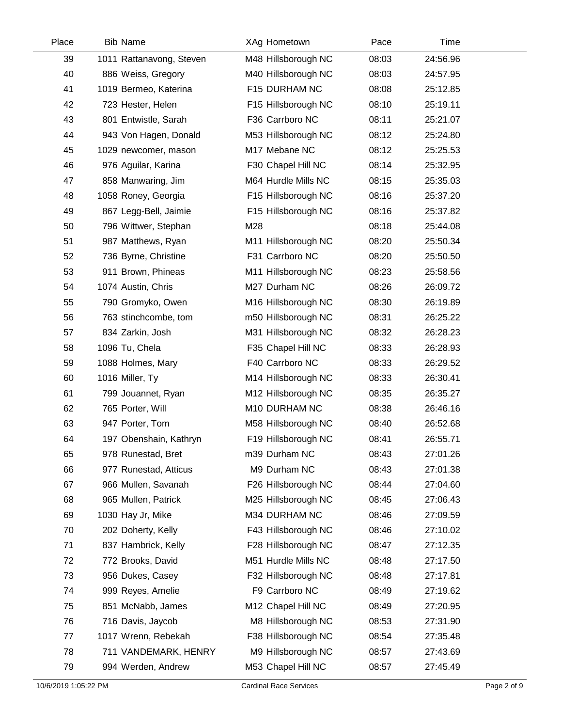| Place | <b>Bib Name</b>          | <b>XAg Hometown</b> | Pace  | Time     |  |
|-------|--------------------------|---------------------|-------|----------|--|
| 39    | 1011 Rattanavong, Steven | M48 Hillsborough NC | 08:03 | 24:56.96 |  |
| 40    | 886 Weiss, Gregory       | M40 Hillsborough NC | 08:03 | 24:57.95 |  |
| 41    | 1019 Bermeo, Katerina    | F15 DURHAM NC       | 08:08 | 25:12.85 |  |
| 42    | 723 Hester, Helen        | F15 Hillsborough NC | 08:10 | 25:19.11 |  |
| 43    | 801 Entwistle, Sarah     | F36 Carrboro NC     | 08:11 | 25:21.07 |  |
| 44    | 943 Von Hagen, Donald    | M53 Hillsborough NC | 08:12 | 25:24.80 |  |
| 45    | 1029 newcomer, mason     | M17 Mebane NC       | 08:12 | 25:25.53 |  |
| 46    | 976 Aguilar, Karina      | F30 Chapel Hill NC  | 08:14 | 25:32.95 |  |
| 47    | 858 Manwaring, Jim       | M64 Hurdle Mills NC | 08:15 | 25:35.03 |  |
| 48    | 1058 Roney, Georgia      | F15 Hillsborough NC | 08:16 | 25:37.20 |  |
| 49    | 867 Legg-Bell, Jaimie    | F15 Hillsborough NC | 08:16 | 25:37.82 |  |
| 50    | 796 Wittwer, Stephan     | M28                 | 08:18 | 25:44.08 |  |
| 51    | 987 Matthews, Ryan       | M11 Hillsborough NC | 08:20 | 25:50.34 |  |
| 52    | 736 Byrne, Christine     | F31 Carrboro NC     | 08:20 | 25:50.50 |  |
| 53    | 911 Brown, Phineas       | M11 Hillsborough NC | 08:23 | 25:58.56 |  |
| 54    | 1074 Austin, Chris       | M27 Durham NC       | 08:26 | 26:09.72 |  |
| 55    | 790 Gromyko, Owen        | M16 Hillsborough NC | 08:30 | 26:19.89 |  |
| 56    | 763 stinchcombe, tom     | m50 Hillsborough NC | 08:31 | 26:25.22 |  |
| 57    | 834 Zarkin, Josh         | M31 Hillsborough NC | 08:32 | 26:28.23 |  |
| 58    | 1096 Tu, Chela           | F35 Chapel Hill NC  | 08:33 | 26:28.93 |  |
| 59    | 1088 Holmes, Mary        | F40 Carrboro NC     | 08:33 | 26:29.52 |  |
| 60    | 1016 Miller, Ty          | M14 Hillsborough NC | 08:33 | 26:30.41 |  |
| 61    | 799 Jouannet, Ryan       | M12 Hillsborough NC | 08:35 | 26:35.27 |  |
| 62    | 765 Porter, Will         | M10 DURHAM NC       | 08:38 | 26:46.16 |  |
| 63    | 947 Porter, Tom          | M58 Hillsborough NC | 08:40 | 26:52.68 |  |
| 64    | 197 Obenshain, Kathryn   | F19 Hillsborough NC | 08:41 | 26:55.71 |  |
| 65    | 978 Runestad, Bret       | m39 Durham NC       | 08:43 | 27:01.26 |  |
| 66    | 977 Runestad, Atticus    | M9 Durham NC        | 08:43 | 27:01.38 |  |
| 67    | 966 Mullen, Savanah      | F26 Hillsborough NC | 08:44 | 27:04.60 |  |
| 68    | 965 Mullen, Patrick      | M25 Hillsborough NC | 08:45 | 27:06.43 |  |
| 69    | 1030 Hay Jr, Mike        | M34 DURHAM NC       | 08:46 | 27:09.59 |  |
| 70    | 202 Doherty, Kelly       | F43 Hillsborough NC | 08:46 | 27:10.02 |  |
| 71    | 837 Hambrick, Kelly      | F28 Hillsborough NC | 08:47 | 27:12.35 |  |
| 72    | 772 Brooks, David        | M51 Hurdle Mills NC | 08:48 | 27:17.50 |  |
| 73    | 956 Dukes, Casey         | F32 Hillsborough NC | 08:48 | 27:17.81 |  |
| 74    | 999 Reyes, Amelie        | F9 Carrboro NC      | 08:49 | 27:19.62 |  |
| 75    | 851 McNabb, James        | M12 Chapel Hill NC  | 08:49 | 27:20.95 |  |
| 76    | 716 Davis, Jaycob        | M8 Hillsborough NC  | 08:53 | 27:31.90 |  |
| 77    | 1017 Wrenn, Rebekah      | F38 Hillsborough NC | 08:54 | 27:35.48 |  |
| 78    | 711 VANDEMARK, HENRY     | M9 Hillsborough NC  | 08:57 | 27:43.69 |  |
| 79    | 994 Werden, Andrew       | M53 Chapel Hill NC  | 08:57 | 27:45.49 |  |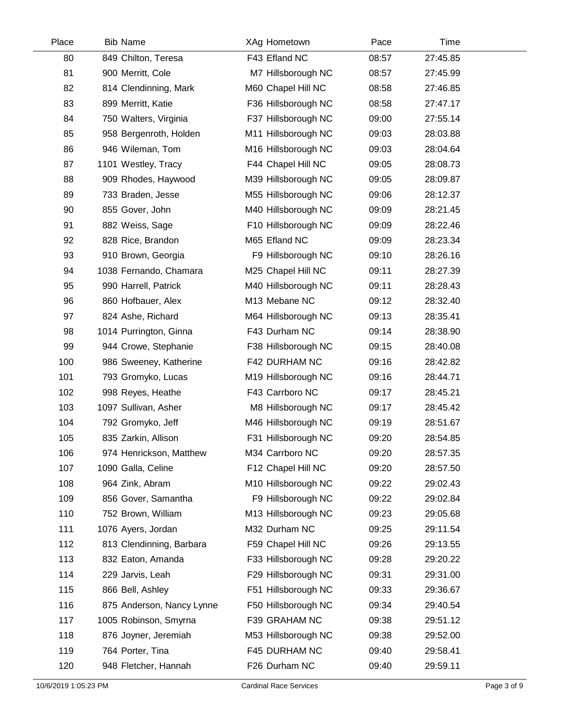| Place | <b>Bib Name</b>           | XAg Hometown        | Pace  | Time     |  |
|-------|---------------------------|---------------------|-------|----------|--|
| 80    | 849 Chilton, Teresa       | F43 Efland NC       | 08:57 | 27:45.85 |  |
| 81    | 900 Merritt, Cole         | M7 Hillsborough NC  | 08:57 | 27:45.99 |  |
| 82    | 814 Clendinning, Mark     | M60 Chapel Hill NC  | 08:58 | 27:46.85 |  |
| 83    | 899 Merritt, Katie        | F36 Hillsborough NC | 08:58 | 27:47.17 |  |
| 84    | 750 Walters, Virginia     | F37 Hillsborough NC | 09:00 | 27:55.14 |  |
| 85    | 958 Bergenroth, Holden    | M11 Hillsborough NC | 09:03 | 28:03.88 |  |
| 86    | 946 Wileman, Tom          | M16 Hillsborough NC | 09:03 | 28:04.64 |  |
| 87    | 1101 Westley, Tracy       | F44 Chapel Hill NC  | 09:05 | 28:08.73 |  |
| 88    | 909 Rhodes, Haywood       | M39 Hillsborough NC | 09:05 | 28:09.87 |  |
| 89    | 733 Braden, Jesse         | M55 Hillsborough NC | 09:06 | 28:12.37 |  |
| 90    | 855 Gover, John           | M40 Hillsborough NC | 09:09 | 28:21.45 |  |
| 91    | 882 Weiss, Sage           | F10 Hillsborough NC | 09:09 | 28:22.46 |  |
| 92    | 828 Rice, Brandon         | M65 Efland NC       | 09:09 | 28:23.34 |  |
| 93    | 910 Brown, Georgia        | F9 Hillsborough NC  | 09:10 | 28:26.16 |  |
| 94    | 1038 Fernando, Chamara    | M25 Chapel Hill NC  | 09:11 | 28:27.39 |  |
| 95    | 990 Harrell, Patrick      | M40 Hillsborough NC | 09:11 | 28:28.43 |  |
| 96    | 860 Hofbauer, Alex        | M13 Mebane NC       | 09:12 | 28:32.40 |  |
| 97    | 824 Ashe, Richard         | M64 Hillsborough NC | 09:13 | 28:35.41 |  |
| 98    | 1014 Purrington, Ginna    | F43 Durham NC       | 09:14 | 28:38.90 |  |
| 99    | 944 Crowe, Stephanie      | F38 Hillsborough NC | 09:15 | 28:40.08 |  |
| 100   | 986 Sweeney, Katherine    | F42 DURHAM NC       | 09:16 | 28:42.82 |  |
| 101   | 793 Gromyko, Lucas        | M19 Hillsborough NC | 09:16 | 28:44.71 |  |
| 102   | 998 Reyes, Heathe         | F43 Carrboro NC     | 09:17 | 28:45.21 |  |
| 103   | 1097 Sullivan, Asher      | M8 Hillsborough NC  | 09:17 | 28:45.42 |  |
| 104   | 792 Gromyko, Jeff         | M46 Hillsborough NC | 09:19 | 28:51.67 |  |
| 105   | 835 Zarkin, Allison       | F31 Hillsborough NC | 09:20 | 28:54.85 |  |
| 106   | 974 Henrickson, Matthew   | M34 Carrboro NC     | 09:20 | 28:57.35 |  |
| 107   | 1090 Galla, Celine        | F12 Chapel Hill NC  | 09:20 | 28:57.50 |  |
| 108   | 964 Zink, Abram           | M10 Hillsborough NC | 09:22 | 29:02.43 |  |
| 109   | 856 Gover, Samantha       | F9 Hillsborough NC  | 09:22 | 29:02.84 |  |
| 110   | 752 Brown, William        | M13 Hillsborough NC | 09:23 | 29:05.68 |  |
| 111   | 1076 Ayers, Jordan        | M32 Durham NC       | 09:25 | 29:11.54 |  |
| 112   | 813 Clendinning, Barbara  | F59 Chapel Hill NC  | 09:26 | 29:13.55 |  |
| 113   | 832 Eaton, Amanda         | F33 Hillsborough NC | 09:28 | 29:20.22 |  |
| 114   | 229 Jarvis, Leah          | F29 Hillsborough NC | 09:31 | 29:31.00 |  |
| 115   | 866 Bell, Ashley          | F51 Hillsborough NC | 09:33 | 29:36.67 |  |
| 116   | 875 Anderson, Nancy Lynne | F50 Hillsborough NC | 09:34 | 29:40.54 |  |
| 117   | 1005 Robinson, Smyrna     | F39 GRAHAM NC       | 09:38 | 29:51.12 |  |
| 118   | 876 Joyner, Jeremiah      | M53 Hillsborough NC | 09:38 | 29:52.00 |  |
| 119   | 764 Porter, Tina          | F45 DURHAM NC       | 09:40 | 29:58.41 |  |
| 120   | 948 Fletcher, Hannah      | F26 Durham NC       | 09:40 | 29:59.11 |  |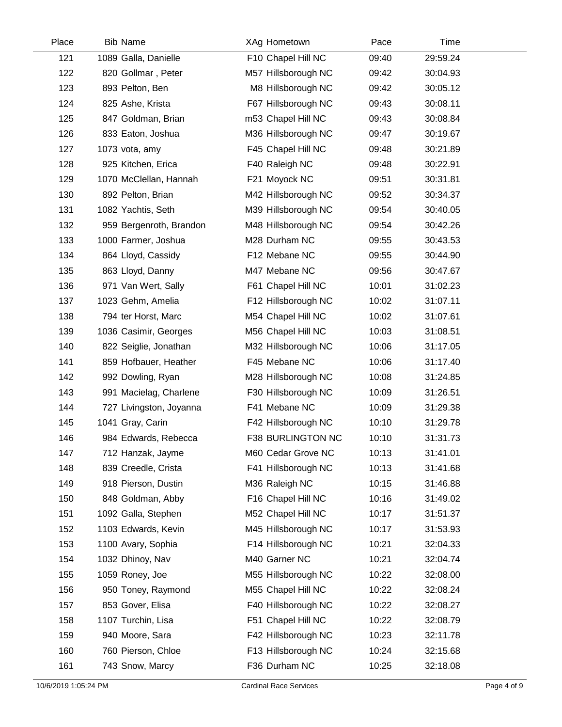| Place | <b>Bib Name</b>         | XAg Hometown        | Pace  | Time     |  |
|-------|-------------------------|---------------------|-------|----------|--|
| 121   | 1089 Galla, Danielle    | F10 Chapel Hill NC  | 09:40 | 29:59.24 |  |
| 122   | 820 Gollmar, Peter      | M57 Hillsborough NC | 09:42 | 30:04.93 |  |
| 123   | 893 Pelton, Ben         | M8 Hillsborough NC  | 09:42 | 30:05.12 |  |
| 124   | 825 Ashe, Krista        | F67 Hillsborough NC | 09:43 | 30:08.11 |  |
| 125   | 847 Goldman, Brian      | m53 Chapel Hill NC  | 09:43 | 30:08.84 |  |
| 126   | 833 Eaton, Joshua       | M36 Hillsborough NC | 09:47 | 30:19.67 |  |
| 127   | 1073 vota, amy          | F45 Chapel Hill NC  | 09:48 | 30:21.89 |  |
| 128   | 925 Kitchen, Erica      | F40 Raleigh NC      | 09:48 | 30:22.91 |  |
| 129   | 1070 McClellan, Hannah  | F21 Moyock NC       | 09:51 | 30:31.81 |  |
| 130   | 892 Pelton, Brian       | M42 Hillsborough NC | 09:52 | 30:34.37 |  |
| 131   | 1082 Yachtis, Seth      | M39 Hillsborough NC | 09:54 | 30:40.05 |  |
| 132   | 959 Bergenroth, Brandon | M48 Hillsborough NC | 09:54 | 30:42.26 |  |
| 133   | 1000 Farmer, Joshua     | M28 Durham NC       | 09:55 | 30:43.53 |  |
| 134   | 864 Lloyd, Cassidy      | F12 Mebane NC       | 09:55 | 30:44.90 |  |
| 135   | 863 Lloyd, Danny        | M47 Mebane NC       | 09:56 | 30:47.67 |  |
| 136   | 971 Van Wert, Sally     | F61 Chapel Hill NC  | 10:01 | 31:02.23 |  |
| 137   | 1023 Gehm, Amelia       | F12 Hillsborough NC | 10:02 | 31:07.11 |  |
| 138   | 794 ter Horst, Marc     | M54 Chapel Hill NC  | 10:02 | 31:07.61 |  |
| 139   | 1036 Casimir, Georges   | M56 Chapel Hill NC  | 10:03 | 31:08.51 |  |
| 140   | 822 Seiglie, Jonathan   | M32 Hillsborough NC | 10:06 | 31:17.05 |  |
| 141   | 859 Hofbauer, Heather   | F45 Mebane NC       | 10:06 | 31:17.40 |  |
| 142   | 992 Dowling, Ryan       | M28 Hillsborough NC | 10:08 | 31:24.85 |  |
| 143   | 991 Macielag, Charlene  | F30 Hillsborough NC | 10:09 | 31:26.51 |  |
| 144   | 727 Livingston, Joyanna | F41 Mebane NC       | 10:09 | 31:29.38 |  |
| 145   | 1041 Gray, Carin        | F42 Hillsborough NC | 10:10 | 31:29.78 |  |
| 146   | 984 Edwards, Rebecca    | F38 BURLINGTON NC   | 10:10 | 31:31.73 |  |
| 147   | 712 Hanzak, Jayme       | M60 Cedar Grove NC  | 10:13 | 31:41.01 |  |
| 148   | 839 Creedle, Crista     | F41 Hillsborough NC | 10:13 | 31:41.68 |  |
| 149   | 918 Pierson, Dustin     | M36 Raleigh NC      | 10:15 | 31:46.88 |  |
| 150   | 848 Goldman, Abby       | F16 Chapel Hill NC  | 10:16 | 31:49.02 |  |
| 151   | 1092 Galla, Stephen     | M52 Chapel Hill NC  | 10:17 | 31:51.37 |  |
| 152   | 1103 Edwards, Kevin     | M45 Hillsborough NC | 10:17 | 31:53.93 |  |
| 153   | 1100 Avary, Sophia      | F14 Hillsborough NC | 10:21 | 32:04.33 |  |
| 154   | 1032 Dhinoy, Nav        | M40 Garner NC       | 10:21 | 32:04.74 |  |
| 155   | 1059 Roney, Joe         | M55 Hillsborough NC | 10:22 | 32:08.00 |  |
| 156   | 950 Toney, Raymond      | M55 Chapel Hill NC  | 10:22 | 32:08.24 |  |
| 157   | 853 Gover, Elisa        | F40 Hillsborough NC | 10:22 | 32:08.27 |  |
| 158   | 1107 Turchin, Lisa      | F51 Chapel Hill NC  | 10:22 | 32:08.79 |  |
| 159   | 940 Moore, Sara         | F42 Hillsborough NC | 10:23 | 32:11.78 |  |
| 160   | 760 Pierson, Chloe      | F13 Hillsborough NC | 10:24 | 32:15.68 |  |
| 161   | 743 Snow, Marcy         | F36 Durham NC       | 10:25 | 32:18.08 |  |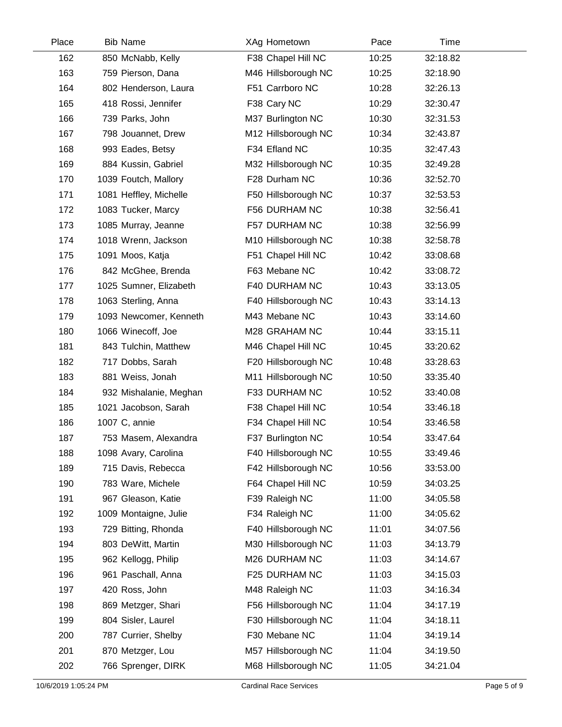| Place | <b>Bib Name</b>        | XAg Hometown        | Pace  | Time     |  |
|-------|------------------------|---------------------|-------|----------|--|
| 162   | 850 McNabb, Kelly      | F38 Chapel Hill NC  | 10:25 | 32:18.82 |  |
| 163   | 759 Pierson, Dana      | M46 Hillsborough NC | 10:25 | 32:18.90 |  |
| 164   | 802 Henderson, Laura   | F51 Carrboro NC     | 10:28 | 32:26.13 |  |
| 165   | 418 Rossi, Jennifer    | F38 Cary NC         | 10:29 | 32:30.47 |  |
| 166   | 739 Parks, John        | M37 Burlington NC   | 10:30 | 32:31.53 |  |
| 167   | 798 Jouannet, Drew     | M12 Hillsborough NC | 10:34 | 32:43.87 |  |
| 168   | 993 Eades, Betsy       | F34 Efland NC       | 10:35 | 32:47.43 |  |
| 169   | 884 Kussin, Gabriel    | M32 Hillsborough NC | 10:35 | 32:49.28 |  |
| 170   | 1039 Foutch, Mallory   | F28 Durham NC       | 10:36 | 32:52.70 |  |
| 171   | 1081 Heffley, Michelle | F50 Hillsborough NC | 10:37 | 32:53.53 |  |
| 172   | 1083 Tucker, Marcy     | F56 DURHAM NC       | 10:38 | 32:56.41 |  |
| 173   | 1085 Murray, Jeanne    | F57 DURHAM NC       | 10:38 | 32:56.99 |  |
| 174   | 1018 Wrenn, Jackson    | M10 Hillsborough NC | 10:38 | 32:58.78 |  |
| 175   | 1091 Moos, Katja       | F51 Chapel Hill NC  | 10:42 | 33:08.68 |  |
| 176   | 842 McGhee, Brenda     | F63 Mebane NC       | 10:42 | 33:08.72 |  |
| 177   | 1025 Sumner, Elizabeth | F40 DURHAM NC       | 10:43 | 33:13.05 |  |
| 178   | 1063 Sterling, Anna    | F40 Hillsborough NC | 10:43 | 33:14.13 |  |
| 179   | 1093 Newcomer, Kenneth | M43 Mebane NC       | 10:43 | 33:14.60 |  |
| 180   | 1066 Winecoff, Joe     | M28 GRAHAM NC       | 10:44 | 33:15.11 |  |
| 181   | 843 Tulchin, Matthew   | M46 Chapel Hill NC  | 10:45 | 33:20.62 |  |
| 182   | 717 Dobbs, Sarah       | F20 Hillsborough NC | 10:48 | 33:28.63 |  |
| 183   | 881 Weiss, Jonah       | M11 Hillsborough NC | 10:50 | 33:35.40 |  |
| 184   | 932 Mishalanie, Meghan | F33 DURHAM NC       | 10:52 | 33:40.08 |  |
| 185   | 1021 Jacobson, Sarah   | F38 Chapel Hill NC  | 10:54 | 33:46.18 |  |
| 186   | 1007 C, annie          | F34 Chapel Hill NC  | 10:54 | 33:46.58 |  |
| 187   | 753 Masem, Alexandra   | F37 Burlington NC   | 10:54 | 33:47.64 |  |
| 188   | 1098 Avary, Carolina   | F40 Hillsborough NC | 10:55 | 33:49.46 |  |
| 189   | 715 Davis, Rebecca     | F42 Hillsborough NC | 10:56 | 33:53.00 |  |
| 190   | 783 Ware, Michele      | F64 Chapel Hill NC  | 10:59 | 34:03.25 |  |
| 191   | 967 Gleason, Katie     | F39 Raleigh NC      | 11:00 | 34:05.58 |  |
| 192   | 1009 Montaigne, Julie  | F34 Raleigh NC      | 11:00 | 34:05.62 |  |
| 193   | 729 Bitting, Rhonda    | F40 Hillsborough NC | 11:01 | 34:07.56 |  |
| 194   | 803 DeWitt, Martin     | M30 Hillsborough NC | 11:03 | 34:13.79 |  |
| 195   | 962 Kellogg, Philip    | M26 DURHAM NC       | 11:03 | 34:14.67 |  |
| 196   | 961 Paschall, Anna     | F25 DURHAM NC       | 11:03 | 34:15.03 |  |
| 197   | 420 Ross, John         | M48 Raleigh NC      | 11:03 | 34:16.34 |  |
| 198   | 869 Metzger, Shari     | F56 Hillsborough NC | 11:04 | 34:17.19 |  |
| 199   | 804 Sisler, Laurel     | F30 Hillsborough NC | 11:04 | 34:18.11 |  |
| 200   | 787 Currier, Shelby    | F30 Mebane NC       | 11:04 | 34:19.14 |  |
| 201   | 870 Metzger, Lou       | M57 Hillsborough NC | 11:04 | 34:19.50 |  |
| 202   | 766 Sprenger, DIRK     | M68 Hillsborough NC | 11:05 | 34:21.04 |  |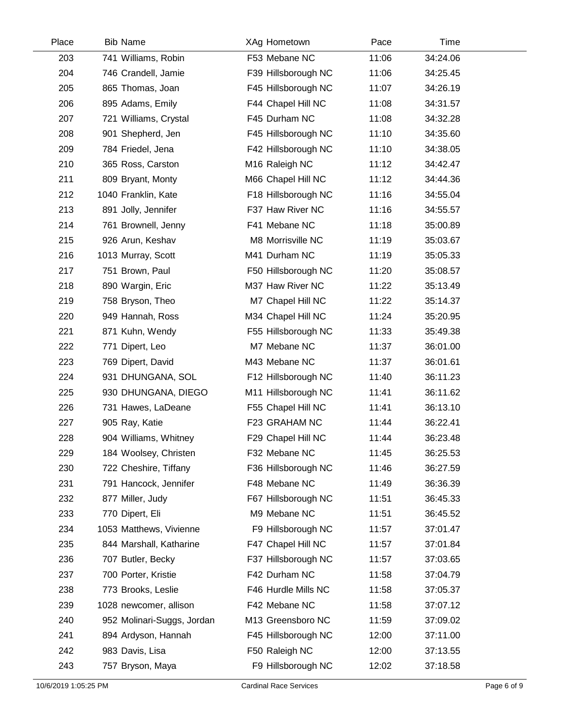| Place | <b>Bib Name</b>            | XAg Hometown        | Pace  | Time     |  |
|-------|----------------------------|---------------------|-------|----------|--|
| 203   | 741 Williams, Robin        | F53 Mebane NC       | 11:06 | 34:24.06 |  |
| 204   | 746 Crandell, Jamie        | F39 Hillsborough NC | 11:06 | 34:25.45 |  |
| 205   | 865 Thomas, Joan           | F45 Hillsborough NC | 11:07 | 34:26.19 |  |
| 206   | 895 Adams, Emily           | F44 Chapel Hill NC  | 11:08 | 34:31.57 |  |
| 207   | 721 Williams, Crystal      | F45 Durham NC       | 11:08 | 34:32.28 |  |
| 208   | 901 Shepherd, Jen          | F45 Hillsborough NC | 11:10 | 34:35.60 |  |
| 209   | 784 Friedel, Jena          | F42 Hillsborough NC | 11:10 | 34:38.05 |  |
| 210   | 365 Ross, Carston          | M16 Raleigh NC      | 11:12 | 34:42.47 |  |
| 211   | 809 Bryant, Monty          | M66 Chapel Hill NC  | 11:12 | 34:44.36 |  |
| 212   | 1040 Franklin, Kate        | F18 Hillsborough NC | 11:16 | 34:55.04 |  |
| 213   | 891 Jolly, Jennifer        | F37 Haw River NC    | 11:16 | 34:55.57 |  |
| 214   | 761 Brownell, Jenny        | F41 Mebane NC       | 11:18 | 35:00.89 |  |
| 215   | 926 Arun, Keshav           | M8 Morrisville NC   | 11:19 | 35:03.67 |  |
| 216   | 1013 Murray, Scott         | M41 Durham NC       | 11:19 | 35:05.33 |  |
| 217   | 751 Brown, Paul            | F50 Hillsborough NC | 11:20 | 35:08.57 |  |
| 218   | 890 Wargin, Eric           | M37 Haw River NC    | 11:22 | 35:13.49 |  |
| 219   | 758 Bryson, Theo           | M7 Chapel Hill NC   | 11:22 | 35:14.37 |  |
| 220   | 949 Hannah, Ross           | M34 Chapel Hill NC  | 11:24 | 35:20.95 |  |
| 221   | 871 Kuhn, Wendy            | F55 Hillsborough NC | 11:33 | 35:49.38 |  |
| 222   | 771 Dipert, Leo            | M7 Mebane NC        | 11:37 | 36:01.00 |  |
| 223   | 769 Dipert, David          | M43 Mebane NC       | 11:37 | 36:01.61 |  |
| 224   | 931 DHUNGANA, SOL          | F12 Hillsborough NC | 11:40 | 36:11.23 |  |
| 225   | 930 DHUNGANA, DIEGO        | M11 Hillsborough NC | 11:41 | 36:11.62 |  |
| 226   | 731 Hawes, LaDeane         | F55 Chapel Hill NC  | 11:41 | 36:13.10 |  |
| 227   | 905 Ray, Katie             | F23 GRAHAM NC       | 11:44 | 36:22.41 |  |
| 228   | 904 Williams, Whitney      | F29 Chapel Hill NC  | 11:44 | 36:23.48 |  |
| 229   | 184 Woolsey, Christen      | F32 Mebane NC       | 11:45 | 36:25.53 |  |
| 230   | 722 Cheshire, Tiffany      | F36 Hillsborough NC | 11:46 | 36:27.59 |  |
| 231   | 791 Hancock, Jennifer      | F48 Mebane NC       | 11:49 | 36:36.39 |  |
| 232   | 877 Miller, Judy           | F67 Hillsborough NC | 11:51 | 36:45.33 |  |
| 233   | 770 Dipert, Eli            | M9 Mebane NC        | 11:51 | 36:45.52 |  |
| 234   | 1053 Matthews, Vivienne    | F9 Hillsborough NC  | 11:57 | 37:01.47 |  |
| 235   | 844 Marshall, Katharine    | F47 Chapel Hill NC  | 11:57 | 37:01.84 |  |
| 236   | 707 Butler, Becky          | F37 Hillsborough NC | 11:57 | 37:03.65 |  |
| 237   | 700 Porter, Kristie        | F42 Durham NC       | 11:58 | 37:04.79 |  |
| 238   | 773 Brooks, Leslie         | F46 Hurdle Mills NC | 11:58 | 37:05.37 |  |
| 239   | 1028 newcomer, allison     | F42 Mebane NC       | 11:58 | 37:07.12 |  |
| 240   | 952 Molinari-Suggs, Jordan | M13 Greensboro NC   | 11:59 | 37:09.02 |  |
| 241   | 894 Ardyson, Hannah        | F45 Hillsborough NC | 12:00 | 37:11.00 |  |
| 242   | 983 Davis, Lisa            | F50 Raleigh NC      | 12:00 | 37:13.55 |  |
| 243   | 757 Bryson, Maya           | F9 Hillsborough NC  | 12:02 | 37:18.58 |  |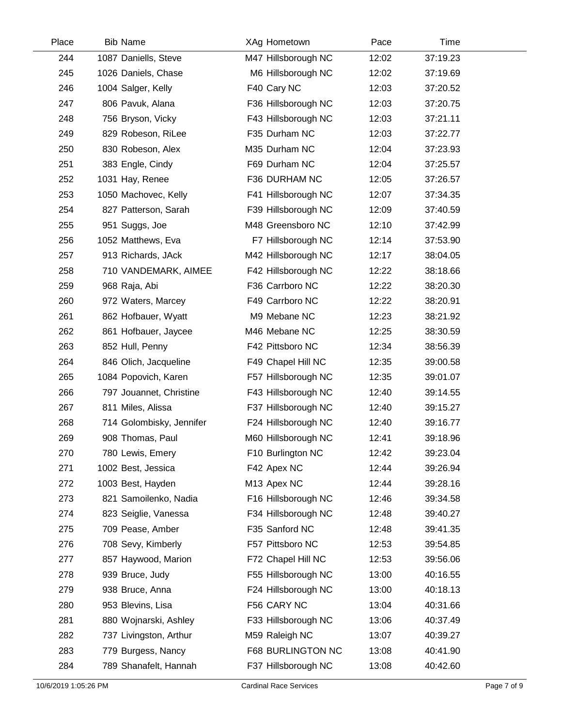| Place | <b>Bib Name</b>          | XAg Hometown        | Pace  | Time     |  |
|-------|--------------------------|---------------------|-------|----------|--|
| 244   | 1087 Daniells, Steve     | M47 Hillsborough NC | 12:02 | 37:19.23 |  |
| 245   | 1026 Daniels, Chase      | M6 Hillsborough NC  | 12:02 | 37:19.69 |  |
| 246   | 1004 Salger, Kelly       | F40 Cary NC         | 12:03 | 37:20.52 |  |
| 247   | 806 Pavuk, Alana         | F36 Hillsborough NC | 12:03 | 37:20.75 |  |
| 248   | 756 Bryson, Vicky        | F43 Hillsborough NC | 12:03 | 37:21.11 |  |
| 249   | 829 Robeson, RiLee       | F35 Durham NC       | 12:03 | 37:22.77 |  |
| 250   | 830 Robeson, Alex        | M35 Durham NC       | 12:04 | 37:23.93 |  |
| 251   | 383 Engle, Cindy         | F69 Durham NC       | 12:04 | 37:25.57 |  |
| 252   | 1031 Hay, Renee          | F36 DURHAM NC       | 12:05 | 37:26.57 |  |
| 253   | 1050 Machovec, Kelly     | F41 Hillsborough NC | 12:07 | 37:34.35 |  |
| 254   | 827 Patterson, Sarah     | F39 Hillsborough NC | 12:09 | 37:40.59 |  |
| 255   | 951 Suggs, Joe           | M48 Greensboro NC   | 12:10 | 37:42.99 |  |
| 256   | 1052 Matthews, Eva       | F7 Hillsborough NC  | 12:14 | 37:53.90 |  |
| 257   | 913 Richards, JAck       | M42 Hillsborough NC | 12:17 | 38:04.05 |  |
| 258   | 710 VANDEMARK, AIMEE     | F42 Hillsborough NC | 12:22 | 38:18.66 |  |
| 259   | 968 Raja, Abi            | F36 Carrboro NC     | 12:22 | 38:20.30 |  |
| 260   | 972 Waters, Marcey       | F49 Carrboro NC     | 12:22 | 38:20.91 |  |
| 261   | 862 Hofbauer, Wyatt      | M9 Mebane NC        | 12:23 | 38:21.92 |  |
| 262   | 861 Hofbauer, Jaycee     | M46 Mebane NC       | 12:25 | 38:30.59 |  |
| 263   | 852 Hull, Penny          | F42 Pittsboro NC    | 12:34 | 38:56.39 |  |
| 264   | 846 Olich, Jacqueline    | F49 Chapel Hill NC  | 12:35 | 39:00.58 |  |
| 265   | 1084 Popovich, Karen     | F57 Hillsborough NC | 12:35 | 39:01.07 |  |
| 266   | 797 Jouannet, Christine  | F43 Hillsborough NC | 12:40 | 39:14.55 |  |
| 267   | 811 Miles, Alissa        | F37 Hillsborough NC | 12:40 | 39:15.27 |  |
| 268   | 714 Golombisky, Jennifer | F24 Hillsborough NC | 12:40 | 39:16.77 |  |
| 269   | 908 Thomas, Paul         | M60 Hillsborough NC | 12:41 | 39:18.96 |  |
| 270   | 780 Lewis, Emery         | F10 Burlington NC   | 12:42 | 39:23.04 |  |
| 271   | 1002 Best, Jessica       | F42 Apex NC         | 12:44 | 39:26.94 |  |
| 272   | 1003 Best, Hayden        | M13 Apex NC         | 12:44 | 39:28.16 |  |
| 273   | 821 Samoilenko, Nadia    | F16 Hillsborough NC | 12:46 | 39:34.58 |  |
| 274   | 823 Seiglie, Vanessa     | F34 Hillsborough NC | 12:48 | 39:40.27 |  |
| 275   | 709 Pease, Amber         | F35 Sanford NC      | 12:48 | 39:41.35 |  |
| 276   | 708 Sevy, Kimberly       | F57 Pittsboro NC    | 12:53 | 39:54.85 |  |
| 277   | 857 Haywood, Marion      | F72 Chapel Hill NC  | 12:53 | 39:56.06 |  |
| 278   | 939 Bruce, Judy          | F55 Hillsborough NC | 13:00 | 40:16.55 |  |
| 279   | 938 Bruce, Anna          | F24 Hillsborough NC | 13:00 | 40:18.13 |  |
| 280   | 953 Blevins, Lisa        | F56 CARY NC         | 13:04 | 40:31.66 |  |
| 281   | 880 Wojnarski, Ashley    | F33 Hillsborough NC | 13:06 | 40:37.49 |  |
| 282   | 737 Livingston, Arthur   | M59 Raleigh NC      | 13:07 | 40:39.27 |  |
| 283   | 779 Burgess, Nancy       | F68 BURLINGTON NC   | 13:08 | 40:41.90 |  |
| 284   | 789 Shanafelt, Hannah    | F37 Hillsborough NC | 13:08 | 40:42.60 |  |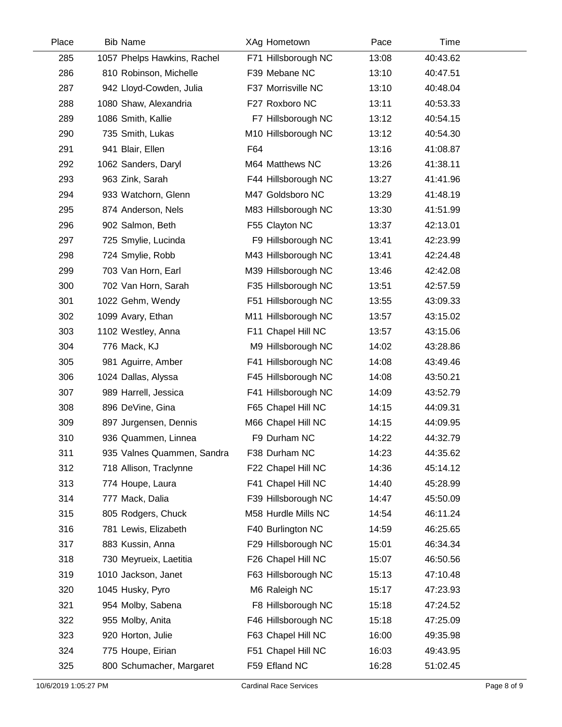| Place | <b>Bib Name</b>             | XAg Hometown        | Pace  | Time     |  |
|-------|-----------------------------|---------------------|-------|----------|--|
| 285   | 1057 Phelps Hawkins, Rachel | F71 Hillsborough NC | 13:08 | 40:43.62 |  |
| 286   | 810 Robinson, Michelle      | F39 Mebane NC       | 13:10 | 40:47.51 |  |
| 287   | 942 Lloyd-Cowden, Julia     | F37 Morrisville NC  | 13:10 | 40:48.04 |  |
| 288   | 1080 Shaw, Alexandria       | F27 Roxboro NC      | 13:11 | 40:53.33 |  |
| 289   | 1086 Smith, Kallie          | F7 Hillsborough NC  | 13:12 | 40:54.15 |  |
| 290   | 735 Smith, Lukas            | M10 Hillsborough NC | 13:12 | 40:54.30 |  |
| 291   | 941 Blair, Ellen            | F64                 | 13:16 | 41:08.87 |  |
| 292   | 1062 Sanders, Daryl         | M64 Matthews NC     | 13:26 | 41:38.11 |  |
| 293   | 963 Zink, Sarah             | F44 Hillsborough NC | 13:27 | 41:41.96 |  |
| 294   | 933 Watchorn, Glenn         | M47 Goldsboro NC    | 13:29 | 41:48.19 |  |
| 295   | 874 Anderson, Nels          | M83 Hillsborough NC | 13:30 | 41:51.99 |  |
| 296   | 902 Salmon, Beth            | F55 Clayton NC      | 13:37 | 42:13.01 |  |
| 297   | 725 Smylie, Lucinda         | F9 Hillsborough NC  | 13:41 | 42:23.99 |  |
| 298   | 724 Smylie, Robb            | M43 Hillsborough NC | 13:41 | 42:24.48 |  |
| 299   | 703 Van Horn, Earl          | M39 Hillsborough NC | 13:46 | 42:42.08 |  |
| 300   | 702 Van Horn, Sarah         | F35 Hillsborough NC | 13:51 | 42:57.59 |  |
| 301   | 1022 Gehm, Wendy            | F51 Hillsborough NC | 13:55 | 43:09.33 |  |
| 302   | 1099 Avary, Ethan           | M11 Hillsborough NC | 13:57 | 43:15.02 |  |
| 303   | 1102 Westley, Anna          | F11 Chapel Hill NC  | 13:57 | 43:15.06 |  |
| 304   | 776 Mack, KJ                | M9 Hillsborough NC  | 14:02 | 43:28.86 |  |
| 305   | 981 Aguirre, Amber          | F41 Hillsborough NC | 14:08 | 43:49.46 |  |
| 306   | 1024 Dallas, Alyssa         | F45 Hillsborough NC | 14:08 | 43:50.21 |  |
| 307   | 989 Harrell, Jessica        | F41 Hillsborough NC | 14:09 | 43:52.79 |  |
| 308   | 896 DeVine, Gina            | F65 Chapel Hill NC  | 14:15 | 44:09.31 |  |
| 309   | 897 Jurgensen, Dennis       | M66 Chapel Hill NC  | 14:15 | 44:09.95 |  |
| 310   | 936 Quammen, Linnea         | F9 Durham NC        | 14:22 | 44:32.79 |  |
| 311   | 935 Valnes Quammen, Sandra  | F38 Durham NC       | 14:23 | 44:35.62 |  |
| 312   | 718 Allison, Traclynne      | F22 Chapel Hill NC  | 14:36 | 45:14.12 |  |
| 313   | 774 Houpe, Laura            | F41 Chapel Hill NC  | 14:40 | 45:28.99 |  |
| 314   | 777 Mack, Dalia             | F39 Hillsborough NC | 14:47 | 45:50.09 |  |
| 315   | 805 Rodgers, Chuck          | M58 Hurdle Mills NC | 14:54 | 46:11.24 |  |
| 316   | 781 Lewis, Elizabeth        | F40 Burlington NC   | 14:59 | 46:25.65 |  |
| 317   | 883 Kussin, Anna            | F29 Hillsborough NC | 15:01 | 46:34.34 |  |
| 318   | 730 Meyrueix, Laetitia      | F26 Chapel Hill NC  | 15:07 | 46:50.56 |  |
| 319   | 1010 Jackson, Janet         | F63 Hillsborough NC | 15:13 | 47:10.48 |  |
| 320   | 1045 Husky, Pyro            | M6 Raleigh NC       | 15:17 | 47:23.93 |  |
| 321   | 954 Molby, Sabena           | F8 Hillsborough NC  | 15:18 | 47:24.52 |  |
| 322   | 955 Molby, Anita            | F46 Hillsborough NC | 15:18 | 47:25.09 |  |
| 323   | 920 Horton, Julie           | F63 Chapel Hill NC  | 16:00 | 49:35.98 |  |
| 324   | 775 Houpe, Eirian           | F51 Chapel Hill NC  | 16:03 | 49:43.95 |  |
| 325   | 800 Schumacher, Margaret    | F59 Efland NC       | 16:28 | 51:02.45 |  |